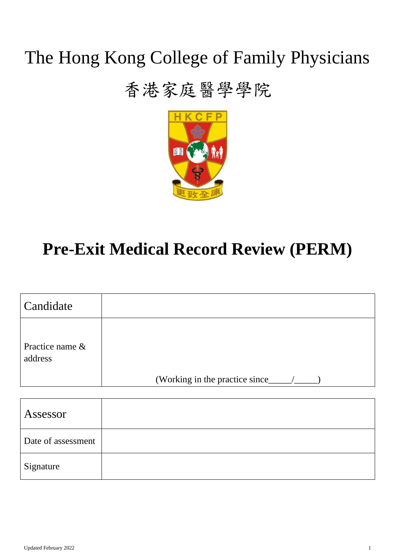# The Hong Kong College of Family Physicians

### 香港家庭醫學學院



## **Pre-Exit Medical Record Review (PERM)**

| Candidate                     |                                 |
|-------------------------------|---------------------------------|
| Practice name $\&$<br>address | (Working in the practice since_ |

| Assessor           |  |
|--------------------|--|
| Date of assessment |  |
| Signature          |  |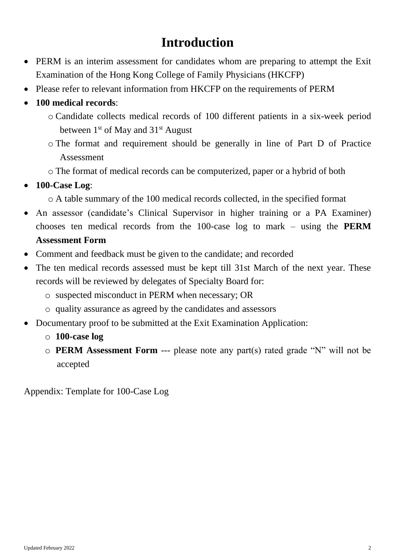#### **Introduction**

- PERM is an interim assessment for candidates whom are preparing to attempt the Exit Examination of the Hong Kong College of Family Physicians (HKCFP)
- Please refer to relevant information from HKCFP on the requirements of PERM
- **100 medical records**:
	- o Candidate collects medical records of 100 different patients in a six-week period between 1<sup>st</sup> of May and 31<sup>st</sup> August
	- o The format and requirement should be generally in line of Part D of Practice Assessment
	- o The format of medical records can be computerized, paper or a hybrid of both
- **100-Case Log**:
	- o A table summary of the 100 medical records collected, in the specified format
- An assessor (candidate's Clinical Supervisor in higher training or a PA Examiner) chooses ten medical records from the 100-case log to mark – using the **PERM Assessment Form**
- Comment and feedback must be given to the candidate; and recorded
- The ten medical records assessed must be kept till 31st March of the next year. These records will be reviewed by delegates of Specialty Board for:
	- o suspected misconduct in PERM when necessary; OR
	- o quality assurance as agreed by the candidates and assessors
- Documentary proof to be submitted at the Exit Examination Application:
	- o **100-case log**
	- o **PERM Assessment Form** --- please note any part(s) rated grade "N" will not be accepted

Appendix: Template for 100-Case Log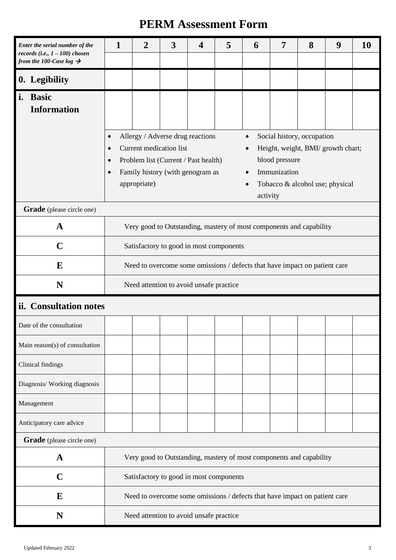#### **PERM Assessment Form**

|    | Enter the serial number of the<br>records (i.e., $1 - 100$ ) chosen<br>from the 100-Case log $\rightarrow$ | 5<br>3<br>1<br>$\overline{2}$<br>$\overline{\mathbf{4}}$                                                                                                                                                                                                                                                                                                                                                             |  |  |  |  | 6 | 7 | 8 | 9 | 10 |
|----|------------------------------------------------------------------------------------------------------------|----------------------------------------------------------------------------------------------------------------------------------------------------------------------------------------------------------------------------------------------------------------------------------------------------------------------------------------------------------------------------------------------------------------------|--|--|--|--|---|---|---|---|----|
|    | 0. Legibility                                                                                              |                                                                                                                                                                                                                                                                                                                                                                                                                      |  |  |  |  |   |   |   |   |    |
| i. | <b>Basic</b><br><b>Information</b>                                                                         |                                                                                                                                                                                                                                                                                                                                                                                                                      |  |  |  |  |   |   |   |   |    |
|    |                                                                                                            | Allergy / Adverse drug reactions<br>Social history, occupation<br>$\bullet$<br>$\bullet$<br>Current medication list<br>Height, weight, BMI/ growth chart;<br>$\bullet$<br>$\bullet$<br>blood pressure<br>Problem list (Current / Past health)<br>$\bullet$<br>Immunization<br>Family history (with genogram as<br>$\bullet$<br>$\bullet$<br>appropriate)<br>Tobacco & alcohol use; physical<br>$\bullet$<br>activity |  |  |  |  |   |   |   |   |    |
|    | Grade (please circle one)                                                                                  |                                                                                                                                                                                                                                                                                                                                                                                                                      |  |  |  |  |   |   |   |   |    |
|    | A                                                                                                          | Very good to Outstanding, mastery of most components and capability                                                                                                                                                                                                                                                                                                                                                  |  |  |  |  |   |   |   |   |    |
|    | $\mathbf C$                                                                                                | Satisfactory to good in most components                                                                                                                                                                                                                                                                                                                                                                              |  |  |  |  |   |   |   |   |    |
|    | E                                                                                                          | Need to overcome some omissions / defects that have impact on patient care                                                                                                                                                                                                                                                                                                                                           |  |  |  |  |   |   |   |   |    |
|    | N                                                                                                          | Need attention to avoid unsafe practice                                                                                                                                                                                                                                                                                                                                                                              |  |  |  |  |   |   |   |   |    |
|    | ii. Consultation notes                                                                                     |                                                                                                                                                                                                                                                                                                                                                                                                                      |  |  |  |  |   |   |   |   |    |
|    | Date of the consultation                                                                                   |                                                                                                                                                                                                                                                                                                                                                                                                                      |  |  |  |  |   |   |   |   |    |
|    | Main reason(s) of consultation                                                                             |                                                                                                                                                                                                                                                                                                                                                                                                                      |  |  |  |  |   |   |   |   |    |
|    | Clinical findings                                                                                          |                                                                                                                                                                                                                                                                                                                                                                                                                      |  |  |  |  |   |   |   |   |    |
|    | Diagnosis/ Working diagnosis                                                                               |                                                                                                                                                                                                                                                                                                                                                                                                                      |  |  |  |  |   |   |   |   |    |
|    | Management                                                                                                 |                                                                                                                                                                                                                                                                                                                                                                                                                      |  |  |  |  |   |   |   |   |    |
|    | Anticipatory care advice                                                                                   |                                                                                                                                                                                                                                                                                                                                                                                                                      |  |  |  |  |   |   |   |   |    |
|    | Grade (please circle one)                                                                                  |                                                                                                                                                                                                                                                                                                                                                                                                                      |  |  |  |  |   |   |   |   |    |
|    | A                                                                                                          | Very good to Outstanding, mastery of most components and capability                                                                                                                                                                                                                                                                                                                                                  |  |  |  |  |   |   |   |   |    |
|    | $\mathbf C$                                                                                                | Satisfactory to good in most components                                                                                                                                                                                                                                                                                                                                                                              |  |  |  |  |   |   |   |   |    |
|    | E                                                                                                          | Need to overcome some omissions / defects that have impact on patient care                                                                                                                                                                                                                                                                                                                                           |  |  |  |  |   |   |   |   |    |
|    | N                                                                                                          | Need attention to avoid unsafe practice                                                                                                                                                                                                                                                                                                                                                                              |  |  |  |  |   |   |   |   |    |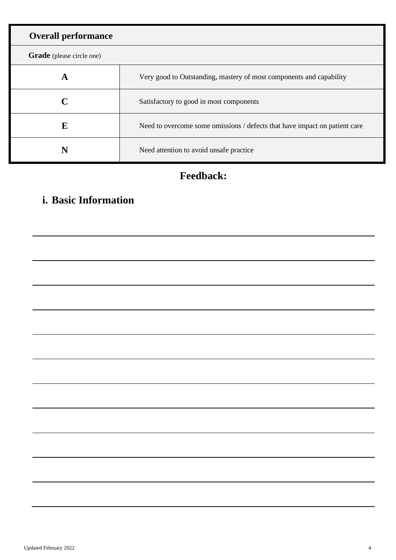| <b>Overall performance</b>       |                                                                            |
|----------------------------------|----------------------------------------------------------------------------|
| <b>Grade</b> (please circle one) |                                                                            |
| A                                | Very good to Outstanding, mastery of most components and capability        |
|                                  | Satisfactory to good in most components                                    |
| F.                               | Need to overcome some omissions / defects that have impact on patient care |
|                                  | Need attention to avoid unsafe practice.                                   |

#### **Feedback:**

#### **i. Basic Information**

| the contract of the contract of the contract of |  |  |  |
|-------------------------------------------------|--|--|--|
|                                                 |  |  |  |
|                                                 |  |  |  |
|                                                 |  |  |  |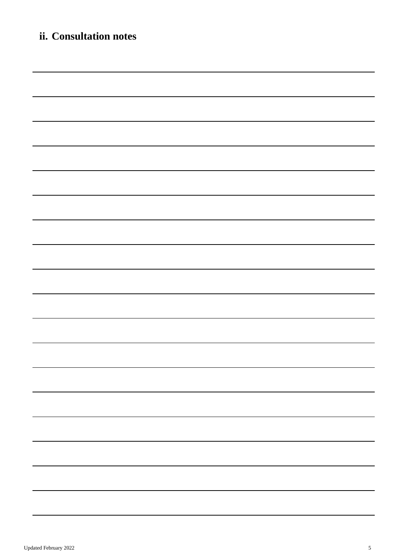| ii. Consultation notes                                                                                               |
|----------------------------------------------------------------------------------------------------------------------|
|                                                                                                                      |
|                                                                                                                      |
| <u> 1989 - Andrea Santa Andrea Andrea Andrea Andrea Andrea Andrea Andrea Andrea Andrea Andrea Andrea Andrea Andr</u> |
| <u> 1989 - Johann Barn, mars an t-Amerikaansk politiker (* 1989)</u>                                                 |
| <u> 1989 - Andrea Andrew Maria (h. 1989).</u>                                                                        |
| ,我们也不会有什么。""我们的人,我们也不会有什么?""我们的人,我们也不会有什么?""我们的人,我们也不会有什么?""我们的人,我们也不会有什么?""我们的人                                     |
|                                                                                                                      |
|                                                                                                                      |
| ,我们也不会有什么。""我们的人,我们也不会有什么?""我们的人,我们也不会有什么?""我们的人,我们也不会有什么?""我们的人,我们也不会有什么?""我们的人                                     |
| ,我们也不会有什么。""我们的人,我们也不会有什么?""我们的人,我们也不会有什么?""我们的人,我们也不会有什么?""我们的人,我们也不会有什么?""我们的人                                     |
|                                                                                                                      |
|                                                                                                                      |
|                                                                                                                      |
|                                                                                                                      |
|                                                                                                                      |
|                                                                                                                      |
|                                                                                                                      |
|                                                                                                                      |
|                                                                                                                      |
|                                                                                                                      |
|                                                                                                                      |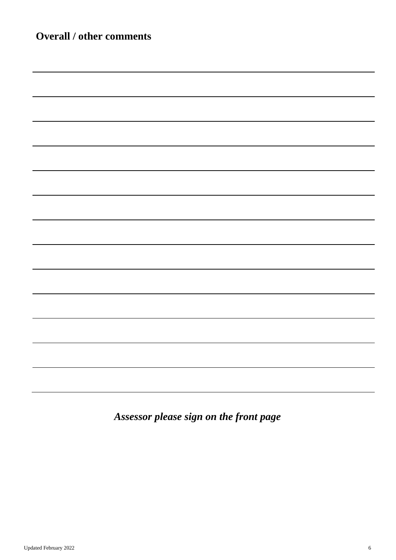| <b>Overall / other comments</b> |  |  |  |  |  |  |
|---------------------------------|--|--|--|--|--|--|
|                                 |  |  |  |  |  |  |
|                                 |  |  |  |  |  |  |
|                                 |  |  |  |  |  |  |
|                                 |  |  |  |  |  |  |
|                                 |  |  |  |  |  |  |
|                                 |  |  |  |  |  |  |
|                                 |  |  |  |  |  |  |
|                                 |  |  |  |  |  |  |
|                                 |  |  |  |  |  |  |
|                                 |  |  |  |  |  |  |
|                                 |  |  |  |  |  |  |
|                                 |  |  |  |  |  |  |
|                                 |  |  |  |  |  |  |
|                                 |  |  |  |  |  |  |
|                                 |  |  |  |  |  |  |
|                                 |  |  |  |  |  |  |
|                                 |  |  |  |  |  |  |
|                                 |  |  |  |  |  |  |
|                                 |  |  |  |  |  |  |
|                                 |  |  |  |  |  |  |
|                                 |  |  |  |  |  |  |
|                                 |  |  |  |  |  |  |
|                                 |  |  |  |  |  |  |
|                                 |  |  |  |  |  |  |
|                                 |  |  |  |  |  |  |
|                                 |  |  |  |  |  |  |

*Assessor please sign on the front page*